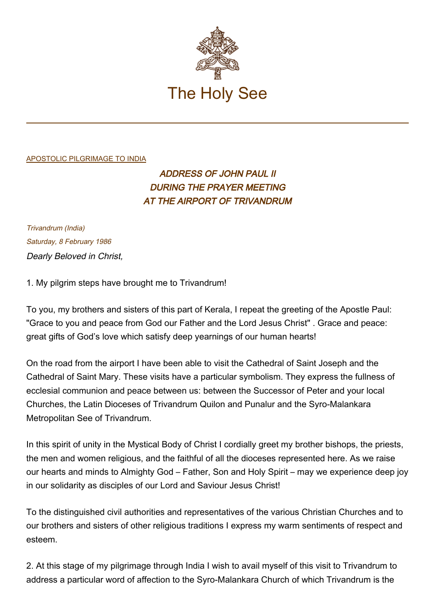

## [APOSTOLIC PILGRIMAGE TO INDIA](http://localhost/holy_father/john_paul_ii/travels/sub_index1986/trav_india.htm)

## ADDRESS OF JOHN PAUL II DURING THE PRAYER MEETING AT THE AIRPORT OF TRIVANDRUM

Trivandrum (India) Saturday, 8 February 1986 Dearly Beloved in Christ,

1. My pilgrim steps have brought me to Trivandrum!

To you, my brothers and sisters of this part of Kerala, I repeat the greeting of the Apostle Paul: "Grace to you and peace from God our Father and the Lord Jesus Christ" . Grace and peace: great gifts of God's love which satisfy deep yearnings of our human hearts!

On the road from the airport I have been able to visit the Cathedral of Saint Joseph and the Cathedral of Saint Mary. These visits have a particular symbolism. They express the fullness of ecclesial communion and peace between us: between the Successor of Peter and your local Churches, the Latin Dioceses of Trivandrum Quilon and Punalur and the Syro-Malankara Metropolitan See of Trivandrum.

In this spirit of unity in the Mystical Body of Christ I cordially greet my brother bishops, the priests, the men and women religious, and the faithful of all the dioceses represented here. As we raise our hearts and minds to Almighty God – Father, Son and Holy Spirit – may we experience deep joy in our solidarity as disciples of our Lord and Saviour Jesus Christ!

To the distinguished civil authorities and representatives of the various Christian Churches and to our brothers and sisters of other religious traditions I express my warm sentiments of respect and esteem.

2. At this stage of my pilgrimage through India I wish to avail myself of this visit to Trivandrum to address a particular word of affection to the Syro-Malankara Church of which Trivandrum is the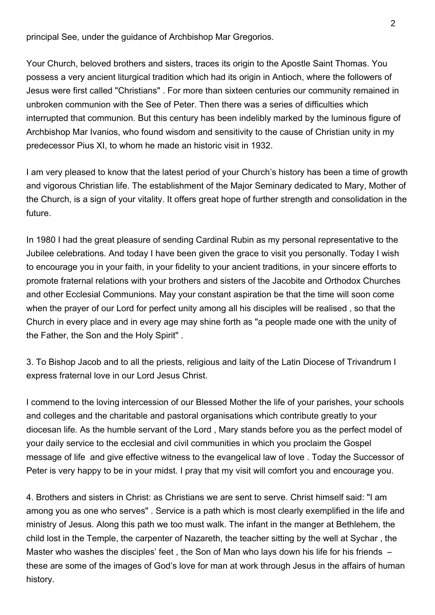principal See, under the guidance of Archbishop Mar Gregorios.

Your Church, beloved brothers and sisters, traces its origin to the Apostle Saint Thomas. You possess a very ancient liturgical tradition which had its origin in Antioch, where the followers of Jesus were first called "Christians" . For more than sixteen centuries our community remained in unbroken communion with the See of Peter. Then there was a series of difficulties which interrupted that communion. But this century has been indelibly marked by the luminous figure of Archbishop Mar Ivanios, who found wisdom and sensitivity to the cause of Christian unity in my predecessor Pius XI, to whom he made an historic visit in 1932.

I am very pleased to know that the latest period of your Church's history has been a time of growth and vigorous Christian life. The establishment of the Major Seminary dedicated to Mary, Mother of the Church, is a sign of your vitality. It offers great hope of further strength and consolidation in the future.

In 1980 I had the great pleasure of sending Cardinal Rubin as my personal representative to the Jubilee celebrations. And today I have been given the grace to visit you personally. Today I wish to encourage you in your faith, in your fidelity to your ancient traditions, in your sincere efforts to promote fraternal relations with your brothers and sisters of the Jacobite and Orthodox Churches and other Ecclesial Communions. May your constant aspiration be that the time will soon come when the prayer of our Lord for perfect unity among all his disciples will be realised , so that the Church in every place and in every age may shine forth as "a people made one with the unity of the Father, the Son and the Holy Spirit" .

3. To Bishop Jacob and to all the priests, religious and laity of the Latin Diocese of Trivandrum I express fraternal love in our Lord Jesus Christ.

I commend to the loving intercession of our Blessed Mother the life of your parishes, your schools and colleges and the charitable and pastoral organisations which contribute greatly to your diocesan life. As the humble servant of the Lord , Mary stands before you as the perfect model of your daily service to the ecclesial and civil communities in which you proclaim the Gospel message of life and give effective witness to the evangelical law of love . Today the Successor of Peter is very happy to be in your midst. I pray that my visit will comfort you and encourage you.

4. Brothers and sisters in Christ: as Christians we are sent to serve. Christ himself said: "I am among you as one who serves" . Service is a path which is most clearly exemplified in the life and ministry of Jesus. Along this path we too must walk. The infant in the manger at Bethlehem, the child lost in the Temple, the carpenter of Nazareth, the teacher sitting by the well at Sychar , the Master who washes the disciples' feet, the Son of Man who lays down his life for his friends  $$ these are some of the images of God's love for man at work through Jesus in the affairs of human history.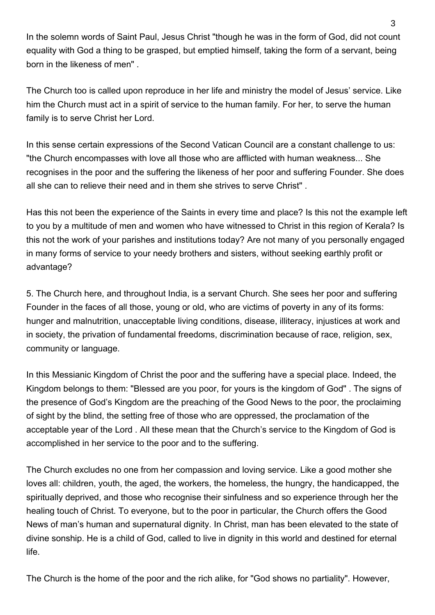In the solemn words of Saint Paul, Jesus Christ "though he was in the form of God, did not count equality with God a thing to be grasped, but emptied himself, taking the form of a servant, being born in the likeness of men" .

The Church too is called upon reproduce in her life and ministry the model of Jesus' service. Like him the Church must act in a spirit of service to the human family. For her, to serve the human family is to serve Christ her Lord.

In this sense certain expressions of the Second Vatican Council are a constant challenge to us: "the Church encompasses with love all those who are afflicted with human weakness... She recognises in the poor and the suffering the likeness of her poor and suffering Founder. She does all she can to relieve their need and in them she strives to serve Christ" .

Has this not been the experience of the Saints in every time and place? Is this not the example left to you by a multitude of men and women who have witnessed to Christ in this region of Kerala? Is this not the work of your parishes and institutions today? Are not many of you personally engaged in many forms of service to your needy brothers and sisters, without seeking earthly profit or advantage?

5. The Church here, and throughout India, is a servant Church. She sees her poor and suffering Founder in the faces of all those, young or old, who are victims of poverty in any of its forms: hunger and malnutrition, unacceptable living conditions, disease, illiteracy, injustices at work and in society, the privation of fundamental freedoms, discrimination because of race, religion, sex, community or language.

In this Messianic Kingdom of Christ the poor and the suffering have a special place. Indeed, the Kingdom belongs to them: "Blessed are you poor, for yours is the kingdom of God" . The signs of the presence of God's Kingdom are the preaching of the Good News to the poor, the proclaiming of sight by the blind, the setting free of those who are oppressed, the proclamation of the acceptable year of the Lord . All these mean that the Church's service to the Kingdom of God is accomplished in her service to the poor and to the suffering.

The Church excludes no one from her compassion and loving service. Like a good mother she loves all: children, youth, the aged, the workers, the homeless, the hungry, the handicapped, the spiritually deprived, and those who recognise their sinfulness and so experience through her the healing touch of Christ. To everyone, but to the poor in particular, the Church offers the Good News of man's human and supernatural dignity. In Christ, man has been elevated to the state of divine sonship. He is a child of God, called to live in dignity in this world and destined for eternal life.

The Church is the home of the poor and the rich alike, for "God shows no partiality". However,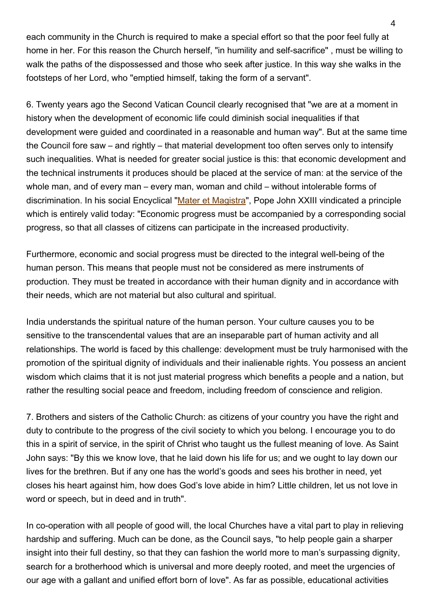each community in the Church is required to make a special effort so that the poor feel fully at home in her. For this reason the Church herself, "in humility and self-sacrifice" , must be willing to walk the paths of the dispossessed and those who seek after justice. In this way she walks in the footsteps of her Lord, who "emptied himself, taking the form of a servant".

6. Twenty years ago the Second Vatican Council clearly recognised that "we are at a moment in history when the development of economic life could diminish social inequalities if that development were guided and coordinated in a reasonable and human way". But at the same time the Council fore saw – and rightly – that material development too often serves only to intensify such inequalities. What is needed for greater social justice is this: that economic development and the technical instruments it produces should be placed at the service of man: at the service of the whole man, and of every man – every man, woman and child – without intolerable forms of discrimination. In his social Encyclical "[Mater et Magistra](https://www.vatican.va/content/john-xxiii/en/encyclicals/documents/hf_j-xxiii_enc_15051961_mater.html)", Pope John XXIII vindicated a principle which is entirely valid today: "Economic progress must be accompanied by a corresponding social progress, so that all classes of citizens can participate in the increased productivity.

Furthermore, economic and social progress must be directed to the integral well-being of the human person. This means that people must not be considered as mere instruments of production. They must be treated in accordance with their human dignity and in accordance with their needs, which are not material but also cultural and spiritual.

India understands the spiritual nature of the human person. Your culture causes you to be sensitive to the transcendental values that are an inseparable part of human activity and all relationships. The world is faced by this challenge: development must be truly harmonised with the promotion of the spiritual dignity of individuals and their inalienable rights. You possess an ancient wisdom which claims that it is not just material progress which benefits a people and a nation, but rather the resulting social peace and freedom, including freedom of conscience and religion.

7. Brothers and sisters of the Catholic Church: as citizens of your country you have the right and duty to contribute to the progress of the civil society to which you belong. I encourage you to do this in a spirit of service, in the spirit of Christ who taught us the fullest meaning of love. As Saint John says: "By this we know love, that he laid down his life for us; and we ought to lay down our lives for the brethren. But if any one has the world's goods and sees his brother in need, yet closes his heart against him, how does God's love abide in him? Little children, let us not love in word or speech, but in deed and in truth".

In co-operation with all people of good will, the local Churches have a vital part to play in relieving hardship and suffering. Much can be done, as the Council says, "to help people gain a sharper insight into their full destiny, so that they can fashion the world more to man's surpassing dignity, search for a brotherhood which is universal and more deeply rooted, and meet the urgencies of our age with a gallant and unified effort born of love". As far as possible, educational activities